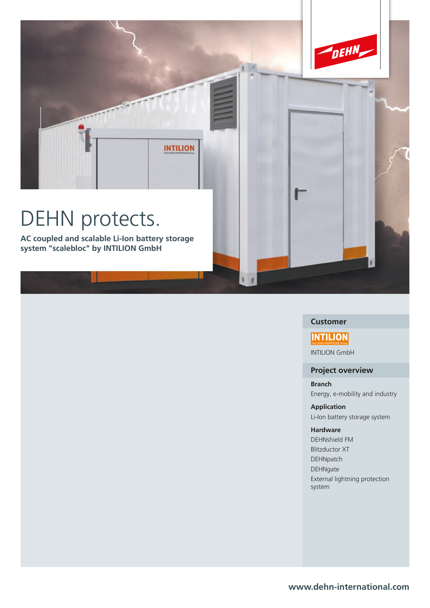

## **Customer**

# **INTILION**

INTILION GmbH

### **Project overview**

**Branch** Energy, e-mobility and industry

**Application** Li-Ion battery storage system

#### **Hardware**

DEHNshield FM Blitzductor XT DEHNpatch DEHNgate External lightning protection system